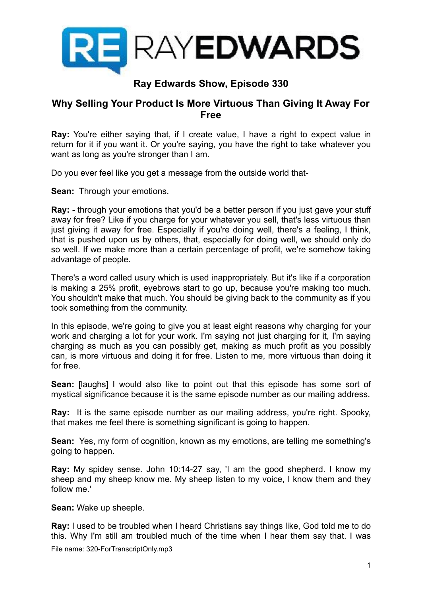

# **Ray Edwards Show, Episode 330**

## **Why Selling Your Product Is More Virtuous Than Giving It Away For Free**

**Ray:** You're either saying that, if I create value, I have a right to expect value in return for it if you want it. Or you're saying, you have the right to take whatever you want as long as you're stronger than I am.

Do you ever feel like you get a message from the outside world that-

**Sean:** Through your emotions.

**Ray: -** through your emotions that you'd be a better person if you just gave your stuff away for free? Like if you charge for your whatever you sell, that's less virtuous than just giving it away for free. Especially if you're doing well, there's a feeling, I think, that is pushed upon us by others, that, especially for doing well, we should only do so well. If we make more than a certain percentage of profit, we're somehow taking advantage of people.

There's a word called usury which is used inappropriately. But it's like if a corporation is making a 25% profit, eyebrows start to go up, because you're making too much. You shouldn't make that much. You should be giving back to the community as if you took something from the community.

In this episode, we're going to give you at least eight reasons why charging for your work and charging a lot for your work. I'm saying not just charging for it, I'm saying charging as much as you can possibly get, making as much profit as you possibly can, is more virtuous and doing it for free. Listen to me, more virtuous than doing it for free.

**Sean:** [laughs] I would also like to point out that this episode has some sort of mystical significance because it is the same episode number as our mailing address.

**Ray:** It is the same episode number as our mailing address, you're right. Spooky, that makes me feel there is something significant is going to happen.

**Sean:** Yes, my form of cognition, known as my emotions, are telling me something's going to happen.

**Ray:** My spidey sense. John 10:14-27 say, 'I am the good shepherd. I know my sheep and my sheep know me. My sheep listen to my voice, I know them and they follow me.'

**Sean:** Wake up sheeple.

**Ray:** I used to be troubled when I heard Christians say things like, God told me to do this. Why I'm still am troubled much of the time when I hear them say that. I was File name: 320-ForTranscriptOnly.mp3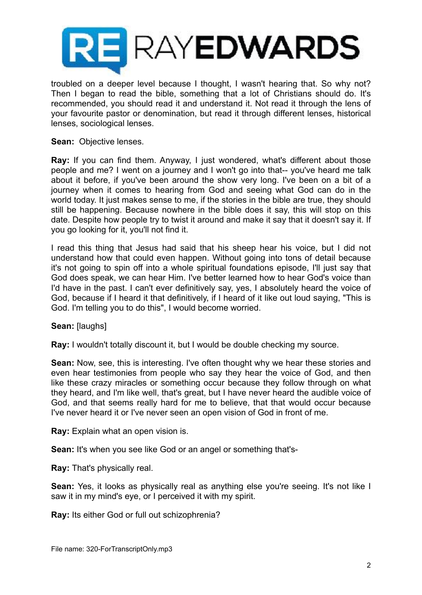

troubled on a deeper level because I thought, I wasn't hearing that. So why not? Then I began to read the bible, something that a lot of Christians should do. It's recommended, you should read it and understand it. Not read it through the lens of your favourite pastor or denomination, but read it through different lenses, historical lenses, sociological lenses.

## **Sean:** Objective lenses.

**Ray:** If you can find them. Anyway, I just wondered, what's different about those people and me? I went on a journey and I won't go into that-- you've heard me talk about it before, if you've been around the show very long. I've been on a bit of a journey when it comes to hearing from God and seeing what God can do in the world today. It just makes sense to me, if the stories in the bible are true, they should still be happening. Because nowhere in the bible does it say, this will stop on this date. Despite how people try to twist it around and make it say that it doesn't say it. If you go looking for it, you'll not find it.

I read this thing that Jesus had said that his sheep hear his voice, but I did not understand how that could even happen. Without going into tons of detail because it's not going to spin off into a whole spiritual foundations episode, I'll just say that God does speak, we can hear Him. I've better learned how to hear God's voice than I'd have in the past. I can't ever definitively say, yes, I absolutely heard the voice of God, because if I heard it that definitively, if I heard of it like out loud saying, "This is God. I'm telling you to do this", I would become worried.

**Sean:** [laughs]

**Ray:** I wouldn't totally discount it, but I would be double checking my source.

**Sean:** Now, see, this is interesting. I've often thought why we hear these stories and even hear testimonies from people who say they hear the voice of God, and then like these crazy miracles or something occur because they follow through on what they heard, and I'm like well, that's great, but I have never heard the audible voice of God, and that seems really hard for me to believe, that that would occur because I've never heard it or I've never seen an open vision of God in front of me.

**Ray:** Explain what an open vision is.

**Sean:** It's when you see like God or an angel or something that's-

**Ray:** That's physically real.

**Sean:** Yes, it looks as physically real as anything else you're seeing. It's not like I saw it in my mind's eye, or I perceived it with my spirit.

**Ray:** Its either God or full out schizophrenia?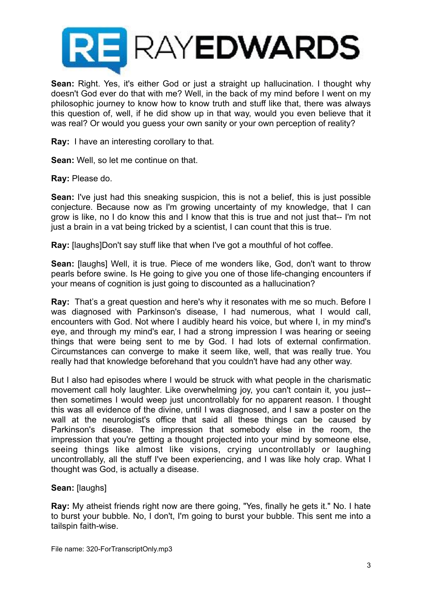

**Sean:** Right. Yes, it's either God or just a straight up hallucination. I thought why doesn't God ever do that with me? Well, in the back of my mind before I went on my philosophic journey to know how to know truth and stuff like that, there was always this question of, well, if he did show up in that way, would you even believe that it was real? Or would you guess your own sanity or your own perception of reality?

**Ray:** I have an interesting corollary to that.

**Sean:** Well, so let me continue on that.

**Ray:** Please do.

**Sean:** I've just had this sneaking suspicion, this is not a belief, this is just possible conjecture. Because now as I'm growing uncertainty of my knowledge, that I can grow is like, no I do know this and I know that this is true and not just that-- I'm not just a brain in a vat being tricked by a scientist, I can count that this is true.

**Ray:** [laughs]Don't say stuff like that when I've got a mouthful of hot coffee.

**Sean:** [laughs] Well, it is true. Piece of me wonders like, God, don't want to throw pearls before swine. Is He going to give you one of those life-changing encounters if your means of cognition is just going to discounted as a hallucination?

**Ray:** That's a great question and here's why it resonates with me so much. Before I was diagnosed with Parkinson's disease, I had numerous, what I would call, encounters with God. Not where I audibly heard his voice, but where I, in my mind's eye, and through my mind's ear, I had a strong impression I was hearing or seeing things that were being sent to me by God. I had lots of external confirmation. Circumstances can converge to make it seem like, well, that was really true. You really had that knowledge beforehand that you couldn't have had any other way.

But I also had episodes where I would be struck with what people in the charismatic movement call holy laughter. Like overwhelming joy, you can't contain it, you just- then sometimes I would weep just uncontrollably for no apparent reason. I thought this was all evidence of the divine, until I was diagnosed, and I saw a poster on the wall at the neurologist's office that said all these things can be caused by Parkinson's disease. The impression that somebody else in the room, the impression that you're getting a thought projected into your mind by someone else, seeing things like almost like visions, crying uncontrollably or laughing uncontrollably, all the stuff I've been experiencing, and I was like holy crap. What I thought was God, is actually a disease.

**Sean:** [laughs]

**Ray:** My atheist friends right now are there going, "Yes, finally he gets it." No. I hate to burst your bubble. No, I don't, I'm going to burst your bubble. This sent me into a tailspin faith-wise.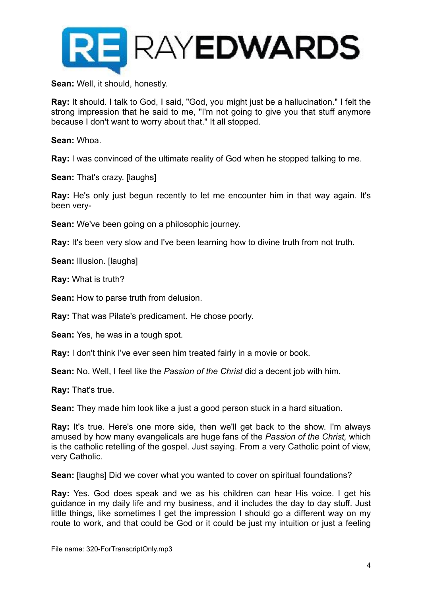

**Sean:** Well, it should, honestly.

**Ray:** It should. I talk to God, I said, "God, you might just be a hallucination." I felt the strong impression that he said to me, "I'm not going to give you that stuff anymore because I don't want to worry about that." It all stopped.

**Sean:** Whoa.

**Ray:** I was convinced of the ultimate reality of God when he stopped talking to me.

**Sean:** That's crazy. [laughs]

**Ray:** He's only just begun recently to let me encounter him in that way again. It's been very-

**Sean:** We've been going on a philosophic journey.

**Ray:** It's been very slow and I've been learning how to divine truth from not truth.

**Sean: Illusion. [laughs]** 

**Ray:** What is truth?

**Sean:** How to parse truth from delusion.

**Ray:** That was Pilate's predicament. He chose poorly.

**Sean:** Yes, he was in a tough spot.

**Ray:** I don't think I've ever seen him treated fairly in a movie or book.

**Sean:** No. Well, I feel like the *Passion of the Christ* did a decent job with him.

**Ray:** That's true.

**Sean:** They made him look like a just a good person stuck in a hard situation.

**Ray:** It's true. Here's one more side, then we'll get back to the show. I'm always amused by how many evangelicals are huge fans of the *Passion of the Christ,* which is the catholic retelling of the gospel. Just saying. From a very Catholic point of view, very Catholic.

**Sean:** [laughs] Did we cover what you wanted to cover on spiritual foundations?

**Ray:** Yes. God does speak and we as his children can hear His voice. I get his guidance in my daily life and my business, and it includes the day to day stuff. Just little things, like sometimes I get the impression I should go a different way on my route to work, and that could be God or it could be just my intuition or just a feeling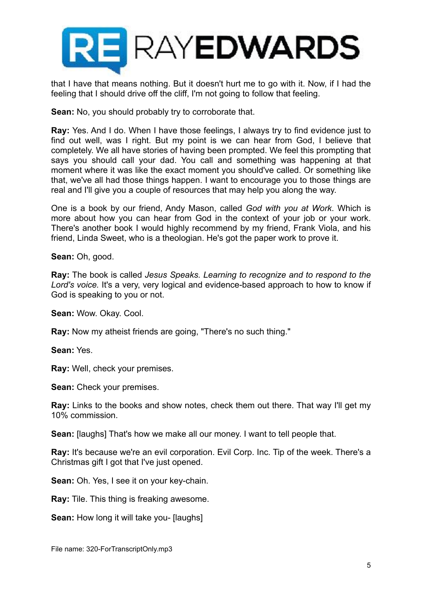

that I have that means nothing. But it doesn't hurt me to go with it. Now, if I had the feeling that I should drive off the cliff, I'm not going to follow that feeling.

**Sean:** No, you should probably try to corroborate that.

**Ray:** Yes. And I do. When I have those feelings, I always try to find evidence just to find out well, was I right. But my point is we can hear from God, I believe that completely. We all have stories of having been prompted. We feel this prompting that says you should call your dad. You call and something was happening at that moment where it was like the exact moment you should've called. Or something like that, we've all had those things happen. I want to encourage you to those things are real and I'll give you a couple of resources that may help you along the way.

One is a book by our friend, Andy Mason, called *God with you at Work*. Which is more about how you can hear from God in the context of your job or your work. There's another book I would highly recommend by my friend, Frank Viola, and his friend, Linda Sweet, who is a theologian. He's got the paper work to prove it.

**Sean:** Oh, good.

**Ray:** The book is called *Jesus Speaks. Learning to recognize and to respond to the Lord's voice.* It's a very, very logical and evidence-based approach to how to know if God is speaking to you or not.

**Sean:** Wow. Okay. Cool.

**Ray:** Now my atheist friends are going, "There's no such thing."

**Sean:** Yes.

**Ray:** Well, check your premises.

**Sean:** Check your premises.

**Ray:** Links to the books and show notes, check them out there. That way I'll get my 10% commission.

**Sean:** [laughs] That's how we make all our money. I want to tell people that.

**Ray:** It's because we're an evil corporation. Evil Corp. Inc. Tip of the week. There's a Christmas gift I got that I've just opened.

**Sean:** Oh. Yes, I see it on your key-chain.

**Ray:** Tile. This thing is freaking awesome.

**Sean:** How long it will take you- [laughs]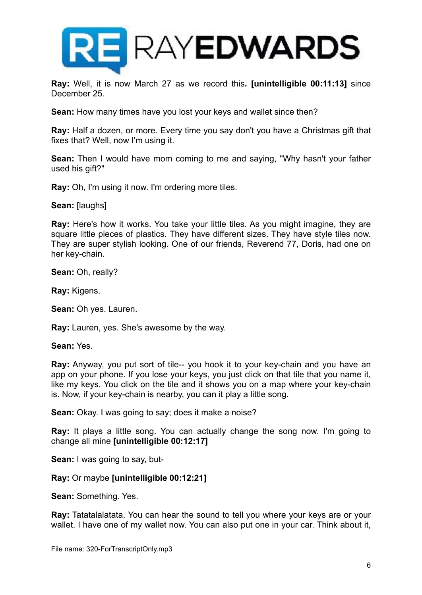

**Ray:** Well, it is now March 27 as we record this**. [unintelligible 00:11:13]** since December 25.

**Sean:** How many times have you lost your keys and wallet since then?

**Ray:** Half a dozen, or more. Every time you say don't you have a Christmas gift that fixes that? Well, now I'm using it.

**Sean:** Then I would have mom coming to me and saying, "Why hasn't your father used his gift?"

**Ray:** Oh, I'm using it now. I'm ordering more tiles.

**Sean:** [laughs]

**Ray:** Here's how it works. You take your little tiles. As you might imagine, they are square little pieces of plastics. They have different sizes. They have style tiles now. They are super stylish looking. One of our friends, Reverend 77, Doris, had one on her key-chain.

**Sean:** Oh, really?

**Ray:** Kigens.

**Sean:** Oh yes. Lauren.

**Ray:** Lauren, yes. She's awesome by the way.

**Sean:** Yes.

**Ray:** Anyway, you put sort of tile-- you hook it to your key-chain and you have an app on your phone. If you lose your keys, you just click on that tile that you name it, like my keys. You click on the tile and it shows you on a map where your key-chain is. Now, if your key-chain is nearby, you can it play a little song.

**Sean:** Okay. I was going to say; does it make a noise?

**Ray:** It plays a little song. You can actually change the song now. I'm going to change all mine **[unintelligible 00:12:17]** 

**Sean:** I was going to say, but-

## **Ray:** Or maybe **[unintelligible 00:12:21]**

**Sean:** Something. Yes.

**Ray:** Tatatalalatata. You can hear the sound to tell you where your keys are or your wallet. I have one of my wallet now. You can also put one in your car. Think about it,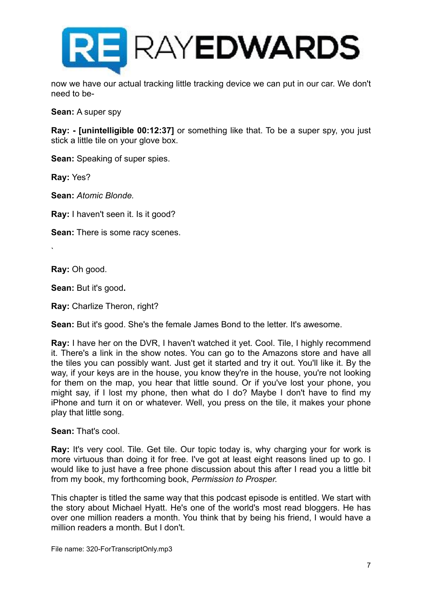

now we have our actual tracking little tracking device we can put in our car. We don't need to be-

**Sean:** A super spy

**Ray: - [unintelligible 00:12:37]** or something like that. To be a super spy, you just stick a little tile on your glove box.

**Sean:** Speaking of super spies.

**Ray:** Yes?

**Sean:** *Atomic Blonde.*

**Ray:** I haven't seen it. Is it good?

**Sean:** There is some racy scenes.

**Ray:** Oh good.

`

**Sean:** But it's good**.**

**Ray:** Charlize Theron, right?

**Sean:** But it's good. She's the female James Bond to the letter. It's awesome.

**Ray:** I have her on the DVR, I haven't watched it yet. Cool. Tile, I highly recommend it. There's a link in the show notes. You can go to the Amazons store and have all the tiles you can possibly want. Just get it started and try it out. You'll like it. By the way, if your keys are in the house, you know they're in the house, you're not looking for them on the map, you hear that little sound. Or if you've lost your phone, you might say, if I lost my phone, then what do I do? Maybe I don't have to find my iPhone and turn it on or whatever. Well, you press on the tile, it makes your phone play that little song.

**Sean:** That's cool.

**Ray:** It's very cool. Tile. Get tile. Our topic today is, why charging your for work is more virtuous than doing it for free. I've got at least eight reasons lined up to go. I would like to just have a free phone discussion about this after I read you a little bit from my book, my forthcoming book, *Permission to Prosper.*

This chapter is titled the same way that this podcast episode is entitled. We start with the story about Michael Hyatt. He's one of the world's most read bloggers. He has over one million readers a month. You think that by being his friend, I would have a million readers a month. But I don't.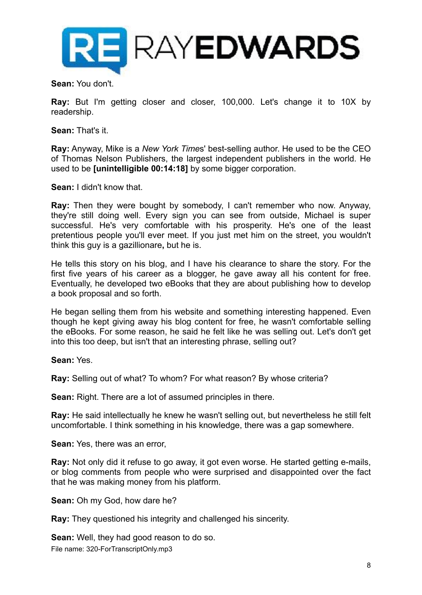

**Sean:** You don't.

**Ray:** But I'm getting closer and closer, 100,000. Let's change it to 10X by readership.

**Sean:** That's it.

**Ray:** Anyway, Mike is a *New York Time*s' best-selling author. He used to be the CEO of Thomas Nelson Publishers, the largest independent publishers in the world. He used to be **[unintelligible 00:14:18]** by some bigger corporation.

**Sean:** I didn't know that.

**Ray:** Then they were bought by somebody, I can't remember who now. Anyway, they're still doing well. Every sign you can see from outside, Michael is super successful. He's very comfortable with his prosperity. He's one of the least pretentious people you'll ever meet. If you just met him on the street, you wouldn't think this guy is a gazillionare**,** but he is.

He tells this story on his blog, and I have his clearance to share the story. For the first five years of his career as a blogger, he gave away all his content for free. Eventually, he developed two eBooks that they are about publishing how to develop a book proposal and so forth.

He began selling them from his website and something interesting happened. Even though he kept giving away his blog content for free, he wasn't comfortable selling the eBooks. For some reason, he said he felt like he was selling out. Let's don't get into this too deep, but isn't that an interesting phrase, selling out?

**Sean:** Yes.

**Ray:** Selling out of what? To whom? For what reason? By whose criteria?

**Sean:** Right. There are a lot of assumed principles in there.

**Ray:** He said intellectually he knew he wasn't selling out, but nevertheless he still felt uncomfortable. I think something in his knowledge, there was a gap somewhere.

**Sean:** Yes, there was an error,

**Ray:** Not only did it refuse to go away, it got even worse. He started getting e-mails, or blog comments from people who were surprised and disappointed over the fact that he was making money from his platform.

**Sean:** Oh my God, how dare he?

**Ray:** They questioned his integrity and challenged his sincerity.

**Sean:** Well, they had good reason to do so.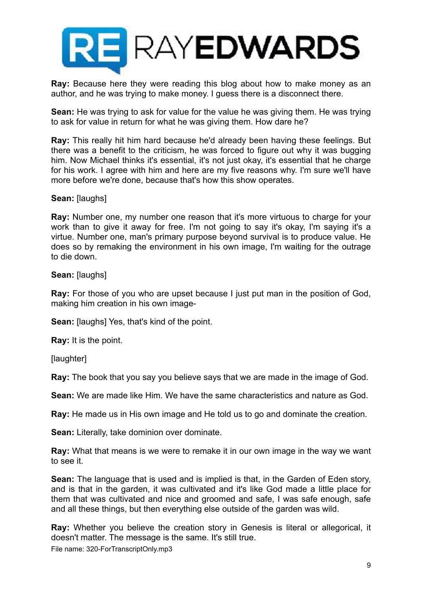

**Ray:** Because here they were reading this blog about how to make money as an author, and he was trying to make money. I guess there is a disconnect there.

**Sean:** He was trying to ask for value for the value he was giving them. He was trying to ask for value in return for what he was giving them. How dare he?

**Ray:** This really hit him hard because he'd already been having these feelings. But there was a benefit to the criticism, he was forced to figure out why it was bugging him. Now Michael thinks it's essential, it's not just okay, it's essential that he charge for his work. I agree with him and here are my five reasons why. I'm sure we'll have more before we're done, because that's how this show operates.

## **Sean:** [laughs]

**Ray:** Number one, my number one reason that it's more virtuous to charge for your work than to give it away for free. I'm not going to say it's okay, I'm saying it's a virtue. Number one, man's primary purpose beyond survival is to produce value. He does so by remaking the environment in his own image, I'm waiting for the outrage to die down.

#### **Sean:** [laughs]

**Ray:** For those of you who are upset because I just put man in the position of God, making him creation in his own image-

**Sean:** [laughs] Yes, that's kind of the point.

**Ray:** It is the point.

[laughter]

**Ray:** The book that you say you believe says that we are made in the image of God.

**Sean:** We are made like Him. We have the same characteristics and nature as God.

**Ray:** He made us in His own image and He told us to go and dominate the creation.

**Sean:** Literally, take dominion over dominate.

**Ray:** What that means is we were to remake it in our own image in the way we want to see it.

**Sean:** The language that is used and is implied is that, in the Garden of Eden story, and is that in the garden, it was cultivated and it's like God made a little place for them that was cultivated and nice and groomed and safe, I was safe enough, safe and all these things, but then everything else outside of the garden was wild.

**Ray:** Whether you believe the creation story in Genesis is literal or allegorical, it doesn't matter. The message is the same. It's still true.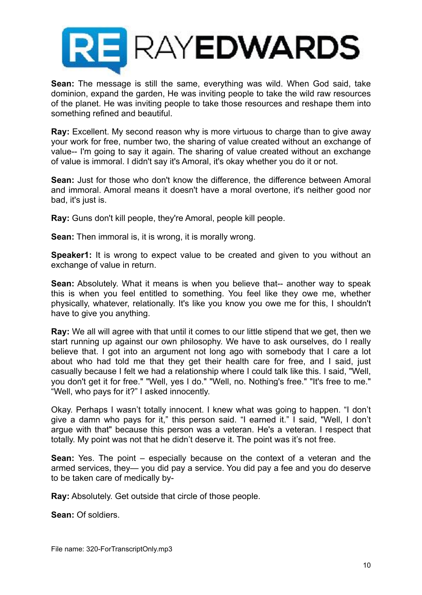

**Sean:** The message is still the same, everything was wild. When God said, take dominion, expand the garden, He was inviting people to take the wild raw resources of the planet. He was inviting people to take those resources and reshape them into something refined and beautiful.

**Ray:** Excellent. My second reason why is more virtuous to charge than to give away your work for free, number two, the sharing of value created without an exchange of value-- I'm going to say it again. The sharing of value created without an exchange of value is immoral. I didn't say it's Amoral, it's okay whether you do it or not.

**Sean:** Just for those who don't know the difference, the difference between Amoral and immoral. Amoral means it doesn't have a moral overtone, it's neither good nor bad, it's just is.

**Ray:** Guns don't kill people, they're Amoral, people kill people.

**Sean:** Then immoral is, it is wrong, it is morally wrong.

**Speaker1:** It is wrong to expect value to be created and given to you without an exchange of value in return.

**Sean:** Absolutely. What it means is when you believe that-- another way to speak this is when you feel entitled to something. You feel like they owe me, whether physically, whatever, relationally. It's like you know you owe me for this, I shouldn't have to give you anything.

**Ray:** We all will agree with that until it comes to our little stipend that we get, then we start running up against our own philosophy. We have to ask ourselves, do I really believe that. I got into an argument not long ago with somebody that I care a lot about who had told me that they get their health care for free, and I said, just casually because I felt we had a relationship where I could talk like this. I said, "Well, you don't get it for free." "Well, yes I do." "Well, no. Nothing's free." "It's free to me." "Well, who pays for it?" I asked innocently.

Okay. Perhaps I wasn't totally innocent. I knew what was going to happen. "I don't give a damn who pays for it," this person said. "I earned it." I said, "Well, I don't argue with that" because this person was a veteran. He's a veteran. I respect that totally. My point was not that he didn't deserve it. The point was it's not free.

**Sean:** Yes. The point – especially because on the context of a veteran and the armed services, they— you did pay a service. You did pay a fee and you do deserve to be taken care of medically by-

**Ray:** Absolutely. Get outside that circle of those people.

**Sean:** Of soldiers.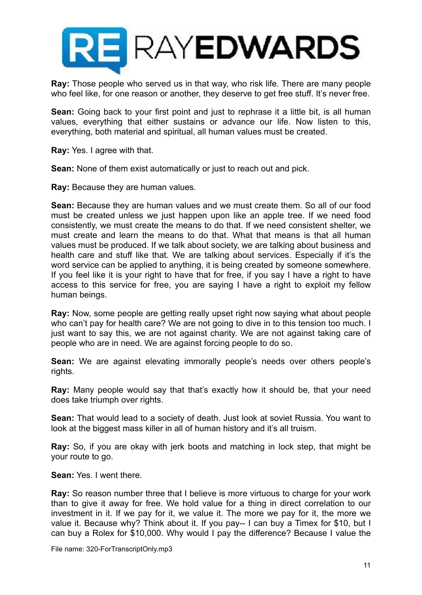

**Ray:** Those people who served us in that way, who risk life. There are many people who feel like, for one reason or another, they deserve to get free stuff. It's never free.

**Sean:** Going back to your first point and just to rephrase it a little bit, is all human values, everything that either sustains or advance our life. Now listen to this, everything, both material and spiritual, all human values must be created.

**Ray:** Yes. I agree with that.

**Sean:** None of them exist automatically or just to reach out and pick.

**Ray:** Because they are human values.

**Sean:** Because they are human values and we must create them. So all of our food must be created unless we just happen upon like an apple tree. If we need food consistently, we must create the means to do that. If we need consistent shelter, we must create and learn the means to do that. What that means is that all human values must be produced. If we talk about society, we are talking about business and health care and stuff like that. We are talking about services. Especially if it's the word service can be applied to anything, it is being created by someone somewhere. If you feel like it is your right to have that for free, if you say I have a right to have access to this service for free, you are saying I have a right to exploit my fellow human beings.

**Ray:** Now, some people are getting really upset right now saying what about people who can't pay for health care? We are not going to dive in to this tension too much. I just want to say this, we are not against charity. We are not against taking care of people who are in need. We are against forcing people to do so.

**Sean:** We are against elevating immorally people's needs over others people's rights.

**Ray:** Many people would say that that's exactly how it should be, that your need does take triumph over rights.

**Sean:** That would lead to a society of death. Just look at soviet Russia. You want to look at the biggest mass killer in all of human history and it's all truism.

**Ray:** So, if you are okay with jerk boots and matching in lock step, that might be your route to go.

**Sean:** Yes. I went there.

**Ray:** So reason number three that I believe is more virtuous to charge for your work than to give it away for free. We hold value for a thing in direct correlation to our investment in it. If we pay for it, we value it. The more we pay for it, the more we value it. Because why? Think about it. If you pay-- I can buy a Timex for \$10, but I can buy a Rolex for \$10,000. Why would I pay the difference? Because I value the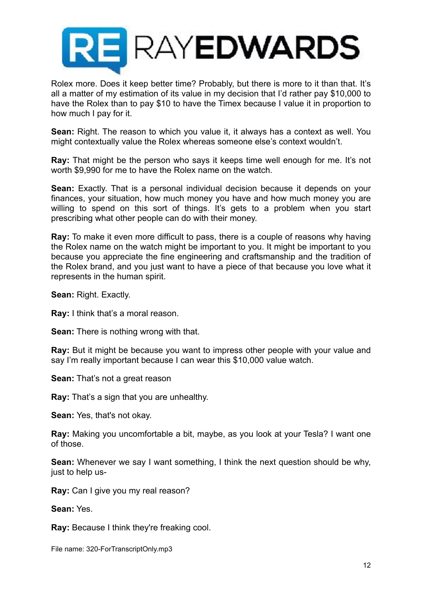

Rolex more. Does it keep better time? Probably, but there is more to it than that. It's all a matter of my estimation of its value in my decision that I'd rather pay \$10,000 to have the Rolex than to pay \$10 to have the Timex because I value it in proportion to how much I pay for it.

**Sean:** Right. The reason to which you value it, it always has a context as well. You might contextually value the Rolex whereas someone else's context wouldn't.

**Ray:** That might be the person who says it keeps time well enough for me. It's not worth \$9,990 for me to have the Rolex name on the watch.

**Sean:** Exactly. That is a personal individual decision because it depends on your finances, your situation, how much money you have and how much money you are willing to spend on this sort of things. It's gets to a problem when you start prescribing what other people can do with their money.

**Ray:** To make it even more difficult to pass, there is a couple of reasons why having the Rolex name on the watch might be important to you. It might be important to you because you appreciate the fine engineering and craftsmanship and the tradition of the Rolex brand, and you just want to have a piece of that because you love what it represents in the human spirit.

**Sean:** Right. Exactly.

**Ray:** I think that's a moral reason.

**Sean:** There is nothing wrong with that.

**Ray:** But it might be because you want to impress other people with your value and say I'm really important because I can wear this \$10,000 value watch.

**Sean:** That's not a great reason

**Ray:** That's a sign that you are unhealthy.

**Sean:** Yes, that's not okay.

**Ray:** Making you uncomfortable a bit, maybe, as you look at your Tesla? I want one of those.

**Sean:** Whenever we say I want something, I think the next question should be why, just to help us-

**Ray:** Can I give you my real reason?

**Sean:** Yes.

**Ray:** Because I think they're freaking cool.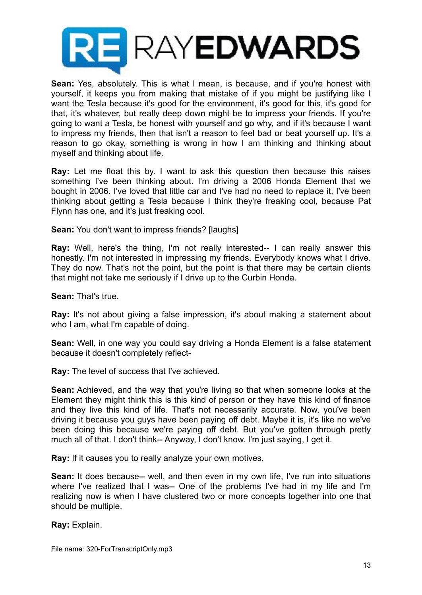

**Sean:** Yes, absolutely. This is what I mean, is because, and if you're honest with yourself, it keeps you from making that mistake of if you might be justifying like I want the Tesla because it's good for the environment, it's good for this, it's good for that, it's whatever, but really deep down might be to impress your friends. If you're going to want a Tesla, be honest with yourself and go why, and if it's because I want to impress my friends, then that isn't a reason to feel bad or beat yourself up. It's a reason to go okay, something is wrong in how I am thinking and thinking about myself and thinking about life.

**Ray:** Let me float this by. I want to ask this question then because this raises something I've been thinking about. I'm driving a 2006 Honda Element that we bought in 2006. I've loved that little car and I've had no need to replace it. I've been thinking about getting a Tesla because I think they're freaking cool, because Pat Flynn has one, and it's just freaking cool.

**Sean:** You don't want to impress friends? [laughs]

**Ray:** Well, here's the thing, I'm not really interested-- I can really answer this honestly. I'm not interested in impressing my friends. Everybody knows what I drive. They do now. That's not the point, but the point is that there may be certain clients that might not take me seriously if I drive up to the Curbin Honda.

**Sean:** That's true.

**Ray:** It's not about giving a false impression, it's about making a statement about who I am, what I'm capable of doing.

**Sean:** Well, in one way you could say driving a Honda Element is a false statement because it doesn't completely reflect-

**Ray:** The level of success that I've achieved.

**Sean:** Achieved, and the way that you're living so that when someone looks at the Element they might think this is this kind of person or they have this kind of finance and they live this kind of life. That's not necessarily accurate. Now, you've been driving it because you guys have been paying off debt. Maybe it is, it's like no we've been doing this because we're paying off debt. But you've gotten through pretty much all of that. I don't think-- Anyway, I don't know. I'm just saying, I get it.

**Ray:** If it causes you to really analyze your own motives.

**Sean:** It does because-- well, and then even in my own life, I've run into situations where I've realized that I was-- One of the problems I've had in my life and I'm realizing now is when I have clustered two or more concepts together into one that should be multiple.

**Ray:** Explain.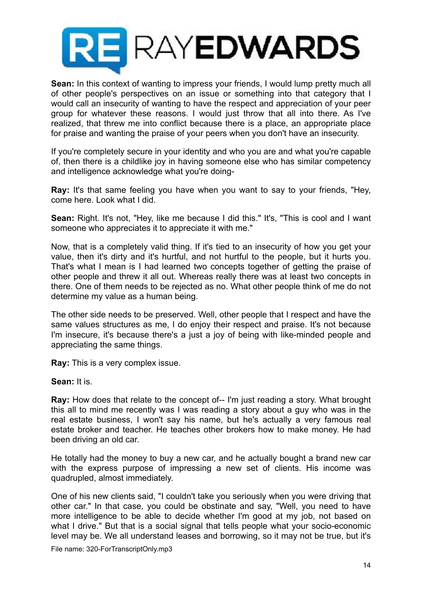

**Sean:** In this context of wanting to impress your friends, I would lump pretty much all of other people's perspectives on an issue or something into that category that I would call an insecurity of wanting to have the respect and appreciation of your peer group for whatever these reasons. I would just throw that all into there. As I've realized, that threw me into conflict because there is a place, an appropriate place for praise and wanting the praise of your peers when you don't have an insecurity.

If you're completely secure in your identity and who you are and what you're capable of, then there is a childlike joy in having someone else who has similar competency and intelligence acknowledge what you're doing-

**Ray:** It's that same feeling you have when you want to say to your friends, "Hey, come here. Look what I did.

**Sean:** Right. It's not, "Hey, like me because I did this." It's, "This is cool and I want someone who appreciates it to appreciate it with me."

Now, that is a completely valid thing. If it's tied to an insecurity of how you get your value, then it's dirty and it's hurtful, and not hurtful to the people, but it hurts you. That's what I mean is I had learned two concepts together of getting the praise of other people and threw it all out. Whereas really there was at least two concepts in there. One of them needs to be rejected as no. What other people think of me do not determine my value as a human being.

The other side needs to be preserved. Well, other people that I respect and have the same values structures as me, I do enjoy their respect and praise. It's not because I'm insecure, it's because there's a just a joy of being with like-minded people and appreciating the same things.

**Ray:** This is a very complex issue.

**Sean:** It is.

**Ray:** How does that relate to the concept of-- I'm just reading a story. What brought this all to mind me recently was I was reading a story about a guy who was in the real estate business, I won't say his name, but he's actually a very famous real estate broker and teacher. He teaches other brokers how to make money. He had been driving an old car.

He totally had the money to buy a new car, and he actually bought a brand new car with the express purpose of impressing a new set of clients. His income was quadrupled, almost immediately.

One of his new clients said, "I couldn't take you seriously when you were driving that other car." In that case, you could be obstinate and say, "Well, you need to have more intelligence to be able to decide whether I'm good at my job, not based on what I drive." But that is a social signal that tells people what your socio-economic level may be. We all understand leases and borrowing, so it may not be true, but it's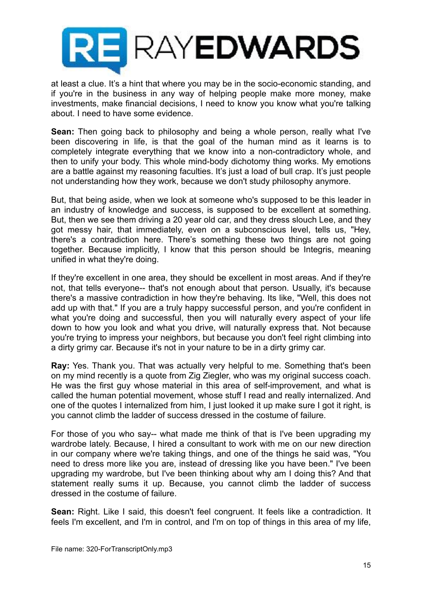

at least a clue. It's a hint that where you may be in the socio-economic standing, and if you're in the business in any way of helping people make more money, make investments, make financial decisions, I need to know you know what you're talking about. I need to have some evidence.

**Sean:** Then going back to philosophy and being a whole person, really what I've been discovering in life, is that the goal of the human mind as it learns is to completely integrate everything that we know into a non-contradictory whole, and then to unify your body. This whole mind-body dichotomy thing works. My emotions are a battle against my reasoning faculties. It's just a load of bull crap. It's just people not understanding how they work, because we don't study philosophy anymore.

But, that being aside, when we look at someone who's supposed to be this leader in an industry of knowledge and success, is supposed to be excellent at something. But, then we see them driving a 20 year old car, and they dress slouch Lee, and they got messy hair, that immediately, even on a subconscious level, tells us, "Hey, there's a contradiction here. There's something these two things are not going together. Because implicitly, I know that this person should be Integris, meaning unified in what they're doing.

If they're excellent in one area, they should be excellent in most areas. And if they're not, that tells everyone-- that's not enough about that person. Usually, it's because there's a massive contradiction in how they're behaving. Its like, "Well, this does not add up with that." If you are a truly happy successful person, and you're confident in what you're doing and successful, then you will naturally every aspect of your life down to how you look and what you drive, will naturally express that. Not because you're trying to impress your neighbors, but because you don't feel right climbing into a dirty grimy car. Because it's not in your nature to be in a dirty grimy car.

**Ray:** Yes. Thank you. That was actually very helpful to me. Something that's been on my mind recently is a quote from Zig Ziegler, who was my original success coach. He was the first guy whose material in this area of self-improvement, and what is called the human potential movement, whose stuff I read and really internalized. And one of the quotes I internalized from him, I just looked it up make sure I got it right, is you cannot climb the ladder of success dressed in the costume of failure.

For those of you who say-- what made me think of that is I've been upgrading my wardrobe lately. Because, I hired a consultant to work with me on our new direction in our company where we're taking things, and one of the things he said was, "You need to dress more like you are, instead of dressing like you have been." I've been upgrading my wardrobe, but I've been thinking about why am I doing this? And that statement really sums it up. Because, you cannot climb the ladder of success dressed in the costume of failure.

**Sean:** Right. Like I said, this doesn't feel congruent. It feels like a contradiction. It feels I'm excellent, and I'm in control, and I'm on top of things in this area of my life,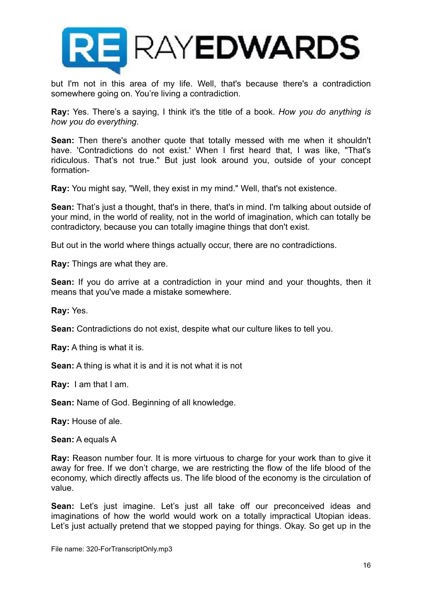

but I'm not in this area of my life. Well, that's because there's a contradiction somewhere going on. You're living a contradiction.

**Ray:** Yes. There's a saying, I think it's the title of a book. *How you do anything is how you do everything*.

**Sean:** Then there's another quote that totally messed with me when it shouldn't have. 'Contradictions do not exist.' When I first heard that, I was like, "That's ridiculous. That's not true." But just look around you, outside of your concept formation-

**Ray:** You might say, "Well, they exist in my mind." Well, that's not existence.

**Sean:** That's just a thought, that's in there, that's in mind. I'm talking about outside of your mind, in the world of reality, not in the world of imagination, which can totally be contradictory, because you can totally imagine things that don't exist.

But out in the world where things actually occur, there are no contradictions.

**Ray:** Things are what they are.

**Sean:** If you do arrive at a contradiction in your mind and your thoughts, then it means that you've made a mistake somewhere.

**Ray:** Yes.

**Sean:** Contradictions do not exist, despite what our culture likes to tell you.

**Ray:** A thing is what it is.

**Sean:** A thing is what it is and it is not what it is not

**Ray:** I am that I am.

**Sean:** Name of God. Beginning of all knowledge.

**Ray:** House of ale.

**Sean:** A equals A

**Ray:** Reason number four. It is more virtuous to charge for your work than to give it away for free. If we don't charge, we are restricting the flow of the life blood of the economy, which directly affects us. The life blood of the economy is the circulation of value.

**Sean:** Let's just imagine. Let's just all take off our preconceived ideas and imaginations of how the world would work on a totally impractical Utopian ideas. Let's just actually pretend that we stopped paying for things. Okay. So get up in the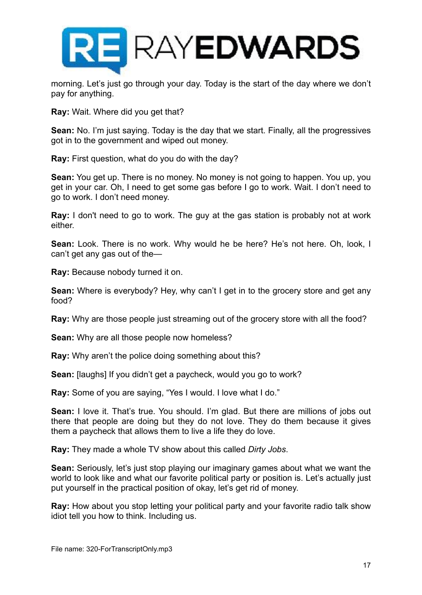

morning. Let's just go through your day. Today is the start of the day where we don't pay for anything.

**Ray:** Wait. Where did you get that?

**Sean:** No. I'm just saying. Today is the day that we start. Finally, all the progressives got in to the government and wiped out money.

**Ray:** First question, what do you do with the day?

**Sean:** You get up. There is no money. No money is not going to happen. You up, you get in your car. Oh, I need to get some gas before I go to work. Wait. I don't need to go to work. I don't need money.

**Ray:** I don't need to go to work. The guy at the gas station is probably not at work either.

**Sean:** Look. There is no work. Why would he be here? He's not here. Oh, look, I can't get any gas out of the—

**Ray:** Because nobody turned it on.

**Sean:** Where is everybody? Hey, why can't I get in to the grocery store and get any food?

**Ray:** Why are those people just streaming out of the grocery store with all the food?

**Sean:** Why are all those people now homeless?

**Ray:** Why aren't the police doing something about this?

**Sean:** [laughs] If you didn't get a paycheck, would you go to work?

**Ray:** Some of you are saying, "Yes I would. I love what I do."

**Sean:** I love it. That's true. You should. I'm glad. But there are millions of jobs out there that people are doing but they do not love. They do them because it gives them a paycheck that allows them to live a life they do love.

**Ray:** They made a whole TV show about this called *Dirty Jobs*.

**Sean:** Seriously, let's just stop playing our imaginary games about what we want the world to look like and what our favorite political party or position is. Let's actually just put yourself in the practical position of okay, let's get rid of money.

**Ray:** How about you stop letting your political party and your favorite radio talk show idiot tell you how to think. Including us.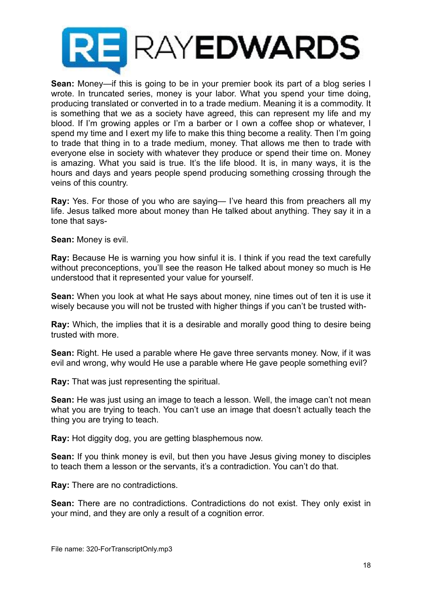

**Sean:** Money—if this is going to be in your premier book its part of a blog series I wrote. In truncated series, money is your labor. What you spend your time doing, producing translated or converted in to a trade medium. Meaning it is a commodity. It is something that we as a society have agreed, this can represent my life and my blood. If I'm growing apples or I'm a barber or I own a coffee shop or whatever, I spend my time and I exert my life to make this thing become a reality. Then I'm going to trade that thing in to a trade medium, money. That allows me then to trade with everyone else in society with whatever they produce or spend their time on. Money is amazing. What you said is true. It's the life blood. It is, in many ways, it is the hours and days and years people spend producing something crossing through the veins of this country.

**Ray:** Yes. For those of you who are saying— I've heard this from preachers all my life. Jesus talked more about money than He talked about anything. They say it in a tone that says-

**Sean:** Money is evil.

**Ray:** Because He is warning you how sinful it is. I think if you read the text carefully without preconceptions, you'll see the reason He talked about money so much is He understood that it represented your value for yourself.

**Sean:** When you look at what He says about money, nine times out of ten it is use it wisely because you will not be trusted with higher things if you can't be trusted with-

**Ray:** Which, the implies that it is a desirable and morally good thing to desire being trusted with more.

**Sean:** Right. He used a parable where He gave three servants money. Now, if it was evil and wrong, why would He use a parable where He gave people something evil?

**Ray:** That was just representing the spiritual.

**Sean:** He was just using an image to teach a lesson. Well, the image can't not mean what you are trying to teach. You can't use an image that doesn't actually teach the thing you are trying to teach.

**Ray:** Hot diggity dog, you are getting blasphemous now.

**Sean:** If you think money is evil, but then you have Jesus giving money to disciples to teach them a lesson or the servants, it's a contradiction. You can't do that.

**Ray:** There are no contradictions.

**Sean:** There are no contradictions. Contradictions do not exist. They only exist in your mind, and they are only a result of a cognition error.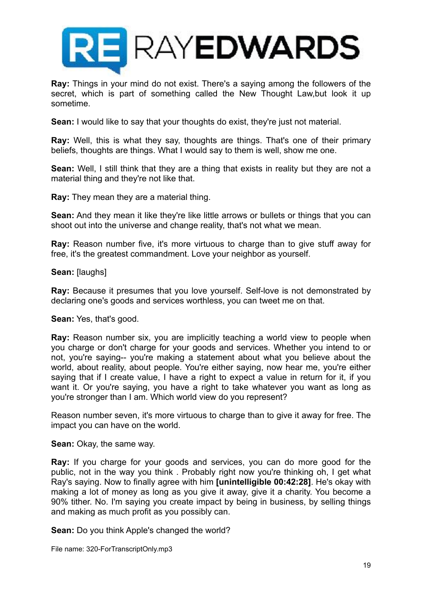

**Ray:** Things in your mind do not exist. There's a saying among the followers of the secret, which is part of something called the New Thought Law,but look it up sometime.

**Sean:** I would like to say that your thoughts do exist, they're just not material.

**Ray:** Well, this is what they say, thoughts are things. That's one of their primary beliefs, thoughts are things. What I would say to them is well, show me one.

**Sean:** Well, I still think that they are a thing that exists in reality but they are not a material thing and they're not like that.

**Ray:** They mean they are a material thing.

**Sean:** And they mean it like they're like little arrows or bullets or things that you can shoot out into the universe and change reality, that's not what we mean.

**Ray:** Reason number five, it's more virtuous to charge than to give stuff away for free, it's the greatest commandment. Love your neighbor as yourself.

## **Sean:** [laughs]

**Ray:** Because it presumes that you love yourself. Self-love is not demonstrated by declaring one's goods and services worthless, you can tweet me on that.

#### **Sean:** Yes, that's good.

**Ray:** Reason number six, you are implicitly teaching a world view to people when you charge or don't charge for your goods and services. Whether you intend to or not, you're saying-- you're making a statement about what you believe about the world, about reality, about people. You're either saying, now hear me, you're either saying that if I create value, I have a right to expect a value in return for it, if you want it. Or you're saying, you have a right to take whatever you want as long as you're stronger than I am. Which world view do you represent?

Reason number seven, it's more virtuous to charge than to give it away for free. The impact you can have on the world.

**Sean:** Okay, the same way.

**Ray:** If you charge for your goods and services, you can do more good for the public, not in the way you think . Probably right now you're thinking oh, I get what Ray's saying. Now to finally agree with him **[unintelligible 00:42:28]**. He's okay with making a lot of money as long as you give it away, give it a charity. You become a 90% tither. No. I'm saying you create impact by being in business, by selling things and making as much profit as you possibly can.

**Sean:** Do you think Apple's changed the world?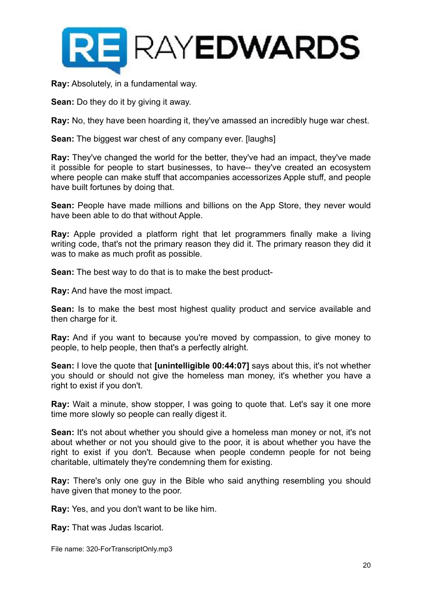

**Ray:** Absolutely, in a fundamental way.

**Sean:** Do they do it by giving it away.

**Ray:** No, they have been hoarding it, they've amassed an incredibly huge war chest.

**Sean:** The biggest war chest of any company ever. [laughs]

**Ray:** They've changed the world for the better, they've had an impact, they've made it possible for people to start businesses, to have-- they've created an ecosystem where people can make stuff that accompanies accessorizes Apple stuff, and people have built fortunes by doing that.

**Sean:** People have made millions and billions on the App Store, they never would have been able to do that without Apple.

**Ray:** Apple provided a platform right that let programmers finally make a living writing code, that's not the primary reason they did it. The primary reason they did it was to make as much profit as possible.

**Sean:** The best way to do that is to make the best product-

**Ray:** And have the most impact.

**Sean:** Is to make the best most highest quality product and service available and then charge for it.

**Ray:** And if you want to because you're moved by compassion, to give money to people, to help people, then that's a perfectly alright.

**Sean:** I love the quote that **[unintelligible 00:44:07]** says about this, it's not whether you should or should not give the homeless man money, it's whether you have a right to exist if you don't.

**Ray:** Wait a minute, show stopper, I was going to quote that. Let's say it one more time more slowly so people can really digest it.

**Sean:** It's not about whether you should give a homeless man money or not, it's not about whether or not you should give to the poor, it is about whether you have the right to exist if you don't. Because when people condemn people for not being charitable, ultimately they're condemning them for existing.

**Ray:** There's only one guy in the Bible who said anything resembling you should have given that money to the poor.

**Ray:** Yes, and you don't want to be like him.

**Ray:** That was Judas Iscariot.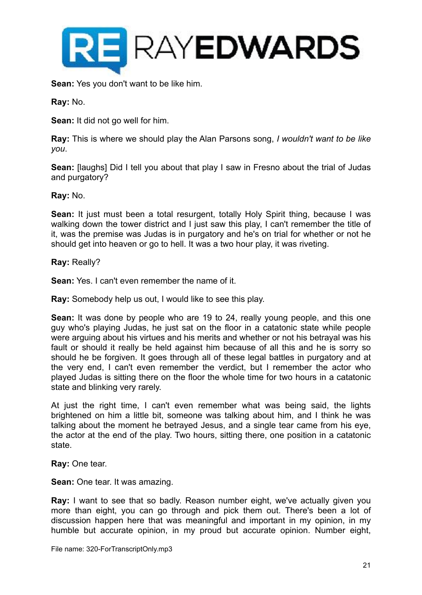

**Sean:** Yes you don't want to be like him.

**Ray:** No.

**Sean:** It did not go well for him.

**Ray:** This is where we should play the Alan Parsons song, *I wouldn't want to be like you*.

**Sean:** [laughs] Did I tell you about that play I saw in Fresno about the trial of Judas and purgatory?

**Ray:** No.

**Sean:** It just must been a total resurgent, totally Holy Spirit thing, because I was walking down the tower district and I just saw this play, I can't remember the title of it, was the premise was Judas is in purgatory and he's on trial for whether or not he should get into heaven or go to hell. It was a two hour play, it was riveting.

**Ray:** Really?

**Sean:** Yes. I can't even remember the name of it.

**Ray:** Somebody help us out, I would like to see this play.

**Sean:** It was done by people who are 19 to 24, really young people, and this one guy who's playing Judas, he just sat on the floor in a catatonic state while people were arguing about his virtues and his merits and whether or not his betrayal was his fault or should it really be held against him because of all this and he is sorry so should he be forgiven. It goes through all of these legal battles in purgatory and at the very end, I can't even remember the verdict, but I remember the actor who played Judas is sitting there on the floor the whole time for two hours in a catatonic state and blinking very rarely.

At just the right time, I can't even remember what was being said, the lights brightened on him a little bit, someone was talking about him, and I think he was talking about the moment he betrayed Jesus, and a single tear came from his eye, the actor at the end of the play. Two hours, sitting there, one position in a catatonic state.

**Ray:** One tear.

**Sean:** One tear. It was amazing.

**Ray:** I want to see that so badly. Reason number eight, we've actually given you more than eight, you can go through and pick them out. There's been a lot of discussion happen here that was meaningful and important in my opinion, in my humble but accurate opinion, in my proud but accurate opinion. Number eight,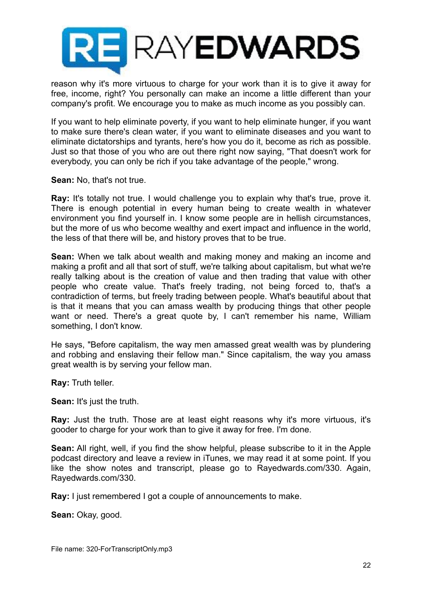

reason why it's more virtuous to charge for your work than it is to give it away for free, income, right? You personally can make an income a little different than your company's profit. We encourage you to make as much income as you possibly can.

If you want to help eliminate poverty, if you want to help eliminate hunger, if you want to make sure there's clean water, if you want to eliminate diseases and you want to eliminate dictatorships and tyrants, here's how you do it, become as rich as possible. Just so that those of you who are out there right now saying, "That doesn't work for everybody, you can only be rich if you take advantage of the people," wrong.

**Sean:** No, that's not true.

**Ray:** It's totally not true. I would challenge you to explain why that's true, prove it. There is enough potential in every human being to create wealth in whatever environment you find yourself in. I know some people are in hellish circumstances, but the more of us who become wealthy and exert impact and influence in the world, the less of that there will be, and history proves that to be true.

**Sean:** When we talk about wealth and making money and making an income and making a profit and all that sort of stuff, we're talking about capitalism, but what we're really talking about is the creation of value and then trading that value with other people who create value. That's freely trading, not being forced to, that's a contradiction of terms, but freely trading between people. What's beautiful about that is that it means that you can amass wealth by producing things that other people want or need. There's a great quote by, I can't remember his name, William something, I don't know.

He says, "Before capitalism, the way men amassed great wealth was by plundering and robbing and enslaving their fellow man." Since capitalism, the way you amass great wealth is by serving your fellow man.

**Ray:** Truth teller.

**Sean:** It's just the truth.

**Ray:** Just the truth. Those are at least eight reasons why it's more virtuous, it's gooder to charge for your work than to give it away for free. I'm done.

**Sean:** All right, well, if you find the show helpful, please subscribe to it in the Apple podcast directory and leave a review in iTunes, we may read it at some point. If you like the show notes and transcript, please go to Rayedwards.com/330. Again, Rayedwards.com/330.

**Ray:** I just remembered I got a couple of announcements to make.

**Sean:** Okay, good.